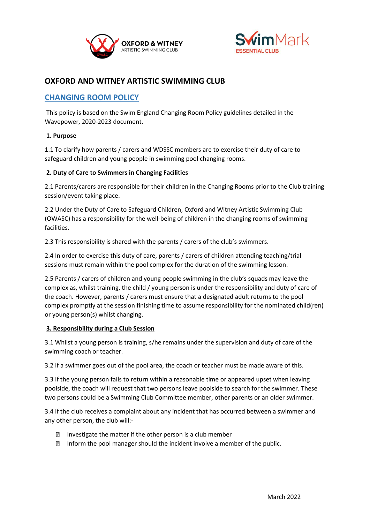



# **OXFORD AND WITNEY ARTISTIC SWIMMING CLUB**

## **CHANGING ROOM POLICY**

This policy is based on the Swim England Changing Room Policy guidelines detailed in the Wavepower, 2020-2023 document.

## **1. Purpose**

1.1 To clarify how parents / carers and WDSSC members are to exercise their duty of care to safeguard children and young people in swimming pool changing rooms.

#### **2. Duty of Care to Swimmers in Changing Facilities**

2.1 Parents/carers are responsible for their children in the Changing Rooms prior to the Club training session/event taking place.

2.2 Under the Duty of Care to Safeguard Children, Oxford and Witney Artistic Swimming Club (OWASC) has a responsibility for the well-being of children in the changing rooms of swimming facilities.

2.3 This responsibility is shared with the parents / carers of the club's swimmers.

2.4 In order to exercise this duty of care, parents / carers of children attending teaching/trial sessions must remain within the pool complex for the duration of the swimming lesson.

2.5 Parents / carers of children and young people swimming in the club's squads may leave the complex as, whilst training, the child / young person is under the responsibility and duty of care of the coach. However, parents / carers must ensure that a designated adult returns to the pool complex promptly at the session finishing time to assume responsibility for the nominated child(ren) or young person(s) whilst changing.

#### **3. Responsibility during a Club Session**

3.1 Whilst a young person is training, s/he remains under the supervision and duty of care of the swimming coach or teacher.

3.2 If a swimmer goes out of the pool area, the coach or teacher must be made aware of this.

3.3 If the young person fails to return within a reasonable time or appeared upset when leaving poolside, the coach will request that two persons leave poolside to search for the swimmer. These two persons could be a Swimming Club Committee member, other parents or an older swimmer.

3.4 If the club receives a complaint about any incident that has occurred between a swimmer and any other person, the club will:-

- **Investigate the matter if the other person is a club member**
- Inform the pool manager should the incident involve a member of the public.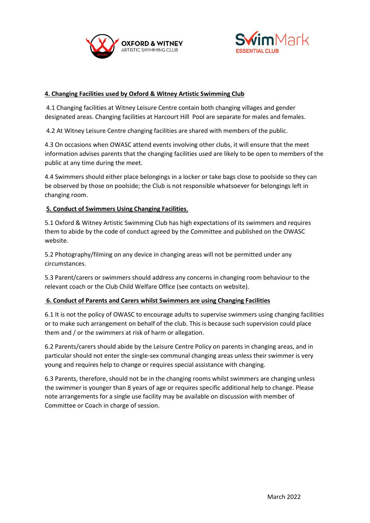



## **4. Changing Facilities used by Oxford & Witney Artistic Swimming Club**

4.1 Changing facilities at Witney Leisure Centre contain both changing villages and gender designated areas. Changing facilities at Harcourt Hill Pool are separate for males and females.

4.2 At Witney Leisure Centre changing facilities are shared with members of the public.

4.3 On occasions when OWASC attend events involving other clubs, it will ensure that the meet information advises parents that the changing facilities used are likely to be open to members of the public at any time during the meet.

4.4 Swimmers should either place belongings in a locker or take bags close to poolside so they can be observed by those on poolside; the Club is not responsible whatsoever for belongings left in changing room.

## **5. Conduct of Swimmers Using Changing Facilities**.

5.1 Oxford & Witney Artistic Swimming Club has high expectations of its swimmers and requires them to abide by the code of conduct agreed by the Committee and published on the OWASC website.

5.2 Photography/filming on any device in changing areas will not be permitted under any circumstances.

5.3 Parent/carers or swimmers should address any concerns in changing room behaviour to the relevant coach or the Club Child Welfare Office (see contacts on website).

#### **6. Conduct of Parents and Carers whilst Swimmers are using Changing Facilities**

6.1 It is not the policy of OWASC to encourage adults to supervise swimmers using changing facilities or to make such arrangement on behalf of the club. This is because such supervision could place them and / or the swimmers at risk of harm or allegation.

6.2 Parents/carers should abide by the Leisure Centre Policy on parents in changing areas, and in particular should not enter the single-sex communal changing areas unless their swimmer is very young and requires help to change or requires special assistance with changing.

6.3 Parents, therefore, should not be in the changing rooms whilst swimmers are changing unless the swimmer is younger than 8 years of age or requires specific additional help to change. Please note arrangements for a single use facility may be available on discussion with member of Committee or Coach in charge of session.